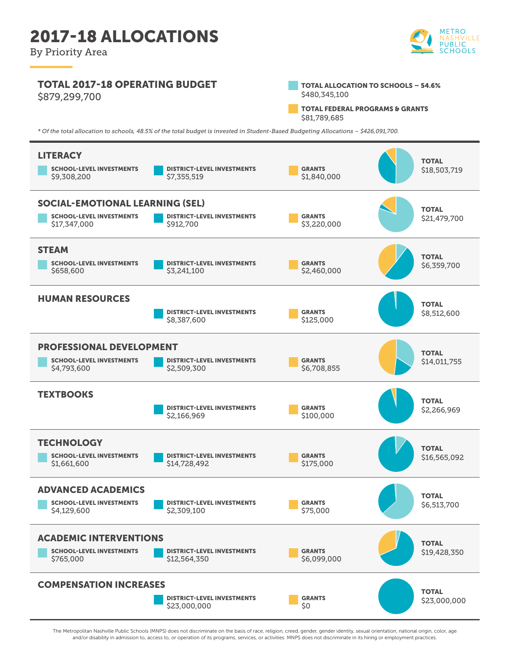By Priority Area



## TOTAL 2017-18 OPERATING BUDGET \$879,299,700



TOTAL FEDERAL PROGRAMS & GRANTS \$81,789,685

*\* Of the total allocation to schools, 48.5% of the total budget is invested in Student-Based Budgeting Allocations – \$426,091,700.*



The Metropolitan Nashville Public Schools (MNPS) does not discriminate on the basis of race, religion, creed, gender, gender identity, sexual orientation, national origin, color, age and/or disability in admission to, access to, or operation of its programs, services, or activities. MNPS does not discriminate in its hiring or employment practices.